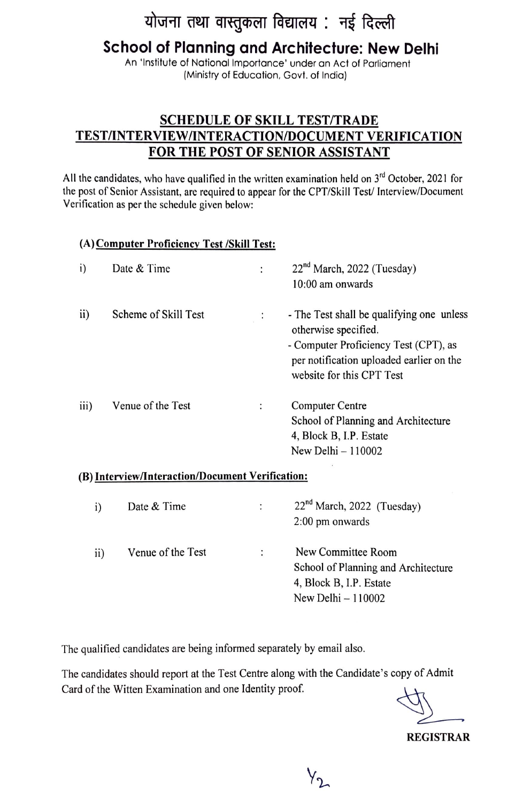## योजना तथा वास्तुकला विद्यालय: नई दिल्ली

## **School of Planning and Architecture: New Delhi**

An 'Institute of National Importance' under an Act of Parliament (Ministry of Education, Govt. of India)

### **SCHEDULE OF SKILL TEST/TRADE TEST/INTERVIEW /INTERACTION/DOCUMENT VERIFICATION FOR THE POST OF SENIOR ASSISTANT**

All the candidates, who have qualified in the written examination held on  $3<sup>rd</sup>$  October, 2021 for the post of Senior Assistant, are required to appear for the CPT/Skill Test/ Interview/Document Verification as per the schedule given below:

#### **(A)Computcr Proficiency Test /Skill Test:**

| i)   | Date & Time          | 22 <sup>nd</sup> March, 2022 (Tuesday)<br>$10:00$ am onwards                                                                                                                        |
|------|----------------------|-------------------------------------------------------------------------------------------------------------------------------------------------------------------------------------|
| ii)  | Scheme of Skill Test | - The Test shall be qualifying one unless<br>otherwise specified.<br>- Computer Proficiency Test (CPT), as<br>per notification uploaded earlier on the<br>website for this CPT Test |
| iii) | Venue of the Test    | <b>Computer Centre</b><br>School of Planning and Architecture<br>4, Block B, I.P. Estate<br>New Delhi $-110002$                                                                     |

#### **(B)** Interview/Interaction/Document Verification:

| i)            | Date & Time       | ÷ | 22 <sup>nd</sup> March, 2022 (Tuesday)<br>2:00 pm onwards                                                   |
|---------------|-------------------|---|-------------------------------------------------------------------------------------------------------------|
| $\mathbf{ii}$ | Venue of the Test |   | New Committee Room<br>School of Planning and Architecture<br>4, Block B, I.P. Estate<br>New Delhi $-110002$ |

The qualified candidates are being informed separately by email also.

The candidates should report at the Test Centre along with the Candidate's copy of Admit Card of the Witten Examination and one Identity proof.

**REGISTRAR**